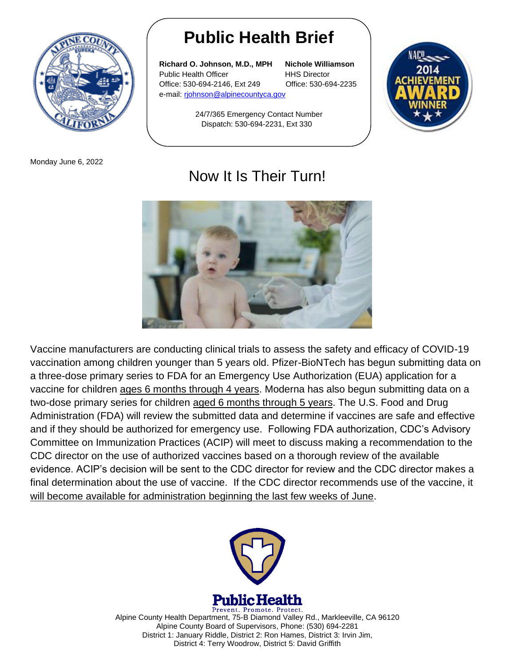

Monday June 6, 2022

## **Public Health Brief**

**Richard O. Johnson, M.D., MPH Nichole Williamson** Public Health Officer **HHS Director** Office: 530-694-2146, Ext 249 Office: 530-694-2235 e-mail: rjohnson@alpinecountyca.gov

24/7/365 Emergency Contact Number



## Now It Is Their Turn!

Dispatch: 530-694-2231, Ext 330



Vaccine manufacturers are conducting clinical trials to assess the safety and efficacy of COVID-19 vaccination among children younger than 5 years old. Pfizer-BioNTech has begun submitting data on a three-dose primary series to FDA for an Emergency Use Authorization (EUA) application for a vaccine for children ages 6 months through 4 years. Moderna has also begun submitting data on a two-dose primary series for children aged 6 months through 5 years. The U.S. Food and Drug Administration (FDA) will review the submitted data and determine if vaccines are safe and effective and if they should be authorized for emergency use. Following FDA authorization, CDC's Advisory Committee on Immunization Practices (ACIP) will meet to discuss making a recommendation to the CDC director on the use of authorized vaccines based on a thorough review of the available evidence. ACIP's decision will be sent to the CDC director for review and the CDC director makes a final determination about the use of vaccine. If the CDC director recommends use of the vaccine, it will become available for administration beginning the last few weeks of June.



Prevent. Promote. Protect. Alpine County Health Department, 75-B Diamond Valley Rd., Markleeville, CA 96120 Alpine County Board of Supervisors, Phone: (530) 694-2281 District 1: January Riddle, District 2: Ron Hames, District 3: Irvin Jim, District 4: Terry Woodrow, District 5: David Griffith